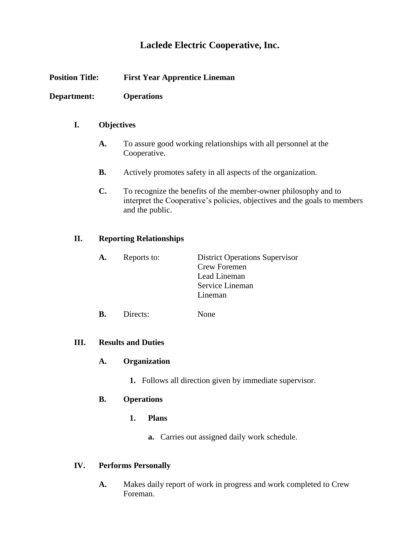# **Laclede Electric Cooperative, Inc.**

| <b>Position Title:</b><br>Department: |                                                                | <b>First Year Apprentice Lineman</b><br><b>Operations</b>                                                                                                       |                                                                                                            |    |
|---------------------------------------|----------------------------------------------------------------|-----------------------------------------------------------------------------------------------------------------------------------------------------------------|------------------------------------------------------------------------------------------------------------|----|
|                                       |                                                                |                                                                                                                                                                 |                                                                                                            | I. |
|                                       | A.                                                             | To assure good working relationships with all personnel at the<br>Cooperative.                                                                                  |                                                                                                            |    |
|                                       | <b>B.</b>                                                      | Actively promotes safety in all aspects of the organization.                                                                                                    |                                                                                                            |    |
|                                       | $\mathbf{C}$ .                                                 | To recognize the benefits of the member-owner philosophy and to<br>interpret the Cooperative's policies, objectives and the goals to members<br>and the public. |                                                                                                            |    |
| II.                                   | <b>Reporting Relationships</b>                                 |                                                                                                                                                                 |                                                                                                            |    |
|                                       | A.                                                             | Reports to:                                                                                                                                                     | <b>District Operations Supervisor</b><br><b>Crew Foremen</b><br>Lead Lineman<br>Service Lineman<br>Lineman |    |
|                                       | <b>B.</b>                                                      | Directs:                                                                                                                                                        | None                                                                                                       |    |
| <b>Results and Duties</b><br>III.     |                                                                |                                                                                                                                                                 |                                                                                                            |    |
|                                       | Organization<br>A.                                             |                                                                                                                                                                 |                                                                                                            |    |
|                                       | <b>1.</b> Follows all direction given by immediate supervisor. |                                                                                                                                                                 |                                                                                                            |    |
|                                       | <b>B.</b>                                                      | <b>Operations</b>                                                                                                                                               |                                                                                                            |    |
|                                       |                                                                | 1.<br><b>Plans</b>                                                                                                                                              |                                                                                                            |    |
|                                       |                                                                |                                                                                                                                                                 | <b>a.</b> Carries out assigned daily work schedule.                                                        |    |

# **IV. Performs Personally**

**A.** Makes daily report of work in progress and work completed to Crew Foreman.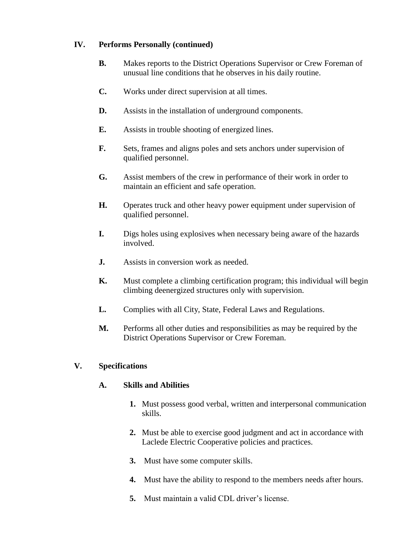#### **IV. Performs Personally (continued)**

- **B.** Makes reports to the District Operations Supervisor or Crew Foreman of unusual line conditions that he observes in his daily routine.
- **C.** Works under direct supervision at all times.
- **D.** Assists in the installation of underground components.
- **E.** Assists in trouble shooting of energized lines.
- **F.** Sets, frames and aligns poles and sets anchors under supervision of qualified personnel.
- **G.** Assist members of the crew in performance of their work in order to maintain an efficient and safe operation.
- **H.** Operates truck and other heavy power equipment under supervision of qualified personnel.
- **I.** Digs holes using explosives when necessary being aware of the hazards involved.
- **J.** Assists in conversion work as needed.
- **K.** Must complete a climbing certification program; this individual will begin climbing deenergized structures only with supervision.
- **L.** Complies with all City, State, Federal Laws and Regulations.
- **M.** Performs all other duties and responsibilities as may be required by the District Operations Supervisor or Crew Foreman.

# **V. Specifications**

#### **A. Skills and Abilities**

- **1.** Must possess good verbal, written and interpersonal communication skills.
- **2.** Must be able to exercise good judgment and act in accordance with Laclede Electric Cooperative policies and practices.
- **3.** Must have some computer skills.
- **4.** Must have the ability to respond to the members needs after hours.
- **5.** Must maintain a valid CDL driver's license.